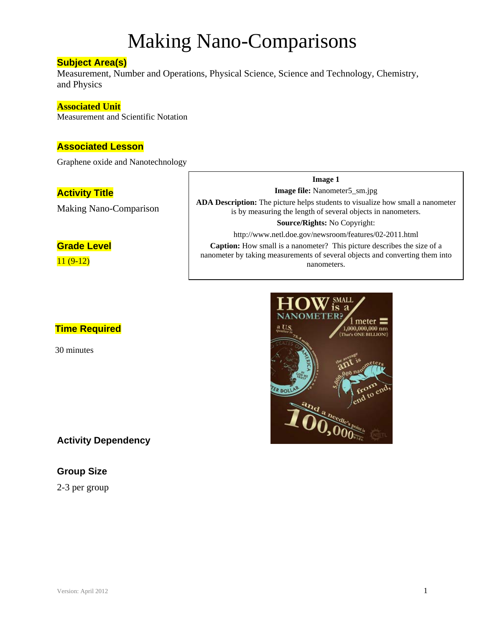### **Subject Area(s)**

Measurement, Number and Operations, Physical Science, Science and Technology, Chemistry, and Physics

#### **Associated Unit**

Measurement and Scientific Notation

### **Associated Lesson**

Graphene oxide and Nanotechnology

### **Activity Title**

Making Nano-Comparison

# **Grade Level**

11 (9-12)

# **Time Required**

30 minutes

# **Activity Dependency**

# **Group Size**

2-3 per group

# **SMALI** is. я meter  $1,000,000,000$  nm **C's ONE BILLION!** ER DOL

**Image 1 Image file:** Nanometer5\_sm.jpg **ADA Description:** The picture helps students to visualize how small a nanometer is by measuring the length of several objects in nanometers. **Source/Rights:** No Copyright: http://www.netl.doe.gov/newsroom/features/02-2011.html **Caption:** How small is a nanometer? This picture describes the size of a nanometer by taking measurements of several objects and converting them into nanometers.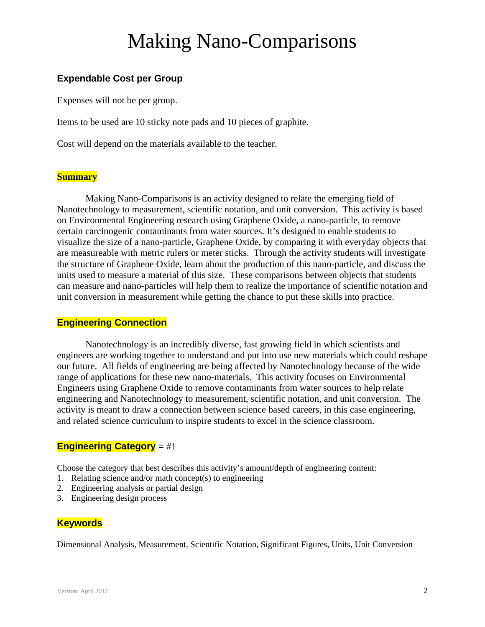# **Expendable Cost per Group**

Expenses will not be per group.

Items to be used are 10 sticky note pads and 10 pieces of graphite.

Cost will depend on the materials available to the teacher.

### **Summary**

 Making Nano-Comparisons is an activity designed to relate the emerging field of Nanotechnology to measurement, scientific notation, and unit conversion. This activity is based on Environmental Engineering research using Graphene Oxide, a nano-particle, to remove certain carcinogenic contaminants from water sources. It's designed to enable students to visualize the size of a nano-particle, Graphene Oxide, by comparing it with everyday objects that are measureable with metric rulers or meter sticks. Through the activity students will investigate the structure of Graphene Oxide, learn about the production of this nano-particle, and discuss the units used to measure a material of this size. These comparisons between objects that students can measure and nano-particles will help them to realize the importance of scientific notation and unit conversion in measurement while getting the chance to put these skills into practice.

### **Engineering Connection**

 Nanotechnology is an incredibly diverse, fast growing field in which scientists and engineers are working together to understand and put into use new materials which could reshape our future. All fields of engineering are being affected by Nanotechnology because of the wide range of applications for these new nano-materials. This activity focuses on Environmental Engineers using Graphene Oxide to remove contaminants from water sources to help relate engineering and Nanotechnology to measurement, scientific notation, and unit conversion. The activity is meant to draw a connection between science based careers, in this case engineering, and related science curriculum to inspire students to excel in the science classroom.

# **Engineering Category** = #1

Choose the category that best describes this activity's amount/depth of engineering content:

- 1. Relating science and/or math concept(s) to engineering
- 2. Engineering analysis or partial design
- 3. Engineering design process

### **Keywords**

Dimensional Analysis, Measurement, Scientific Notation, Significant Figures, Units, Unit Conversion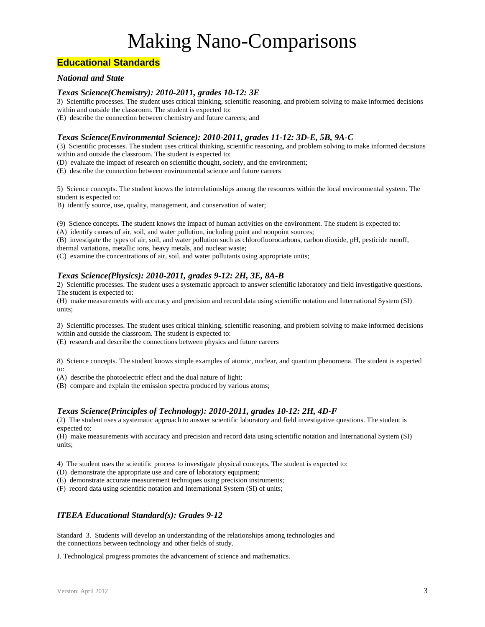### **Educational Standards**

#### *National and State*

#### *Texas Science(Chemistry): 2010-2011, grades 10-12: 3E*

3) Scientific processes. The student uses critical thinking, scientific reasoning, and problem solving to make informed decisions within and outside the classroom. The student is expected to:

(E) describe the connection between chemistry and future careers; and

#### *Texas Science(Environmental Science): 2010-2011, grades 11-12: 3D-E, 5B, 9A-C*

(3) Scientific processes. The student uses critical thinking, scientific reasoning, and problem solving to make informed decisions within and outside the classroom. The student is expected to:

(D) evaluate the impact of research on scientific thought, society, and the environment;

(E) describe the connection between environmental science and future careers

5) Science concepts. The student knows the interrelationships among the resources within the local environmental system. The student is expected to:

B) identify source, use, quality, management, and conservation of water;

(9) Science concepts. The student knows the impact of human activities on the environment. The student is expected to:

(A) identify causes of air, soil, and water pollution, including point and nonpoint sources;

(B) investigate the types of air, soil, and water pollution such as chlorofluorocarbons, carbon dioxide, pH, pesticide runoff, thermal variations, metallic ions, heavy metals, and nuclear waste;

(C) examine the concentrations of air, soil, and water pollutants using appropriate units;

#### *Texas Science(Physics): 2010-2011, grades 9-12: 2H, 3E, 8A-B*

2) Scientific processes. The student uses a systematic approach to answer scientific laboratory and field investigative questions. The student is expected to:

(H) make measurements with accuracy and precision and record data using scientific notation and International System (SI) units;

3) Scientific processes. The student uses critical thinking, scientific reasoning, and problem solving to make informed decisions within and outside the classroom. The student is expected to:

(E) research and describe the connections between physics and future careers

8) Science concepts. The student knows simple examples of atomic, nuclear, and quantum phenomena. The student is expected to:

(A) describe the photoelectric effect and the dual nature of light;

(B) compare and explain the emission spectra produced by various atoms;

#### *Texas Science(Principles of Technology): 2010-2011, grades 10-12: 2H, 4D-F*

(2) The student uses a systematic approach to answer scientific laboratory and field investigative questions. The student is expected to:

(H) make measurements with accuracy and precision and record data using scientific notation and International System (SI) units;

4) The student uses the scientific process to investigate physical concepts. The student is expected to:

(D) demonstrate the appropriate use and care of laboratory equipment;

(E) demonstrate accurate measurement techniques using precision instruments;

(F) record data using scientific notation and International System (SI) of units;

#### *ITEEA Educational Standard(s): Grades 9-12*

Standard 3. Students will develop an understanding of the relationships among technologies and the connections between technology and other fields of study.

J. Technological progress promotes the advancement of science and mathematics.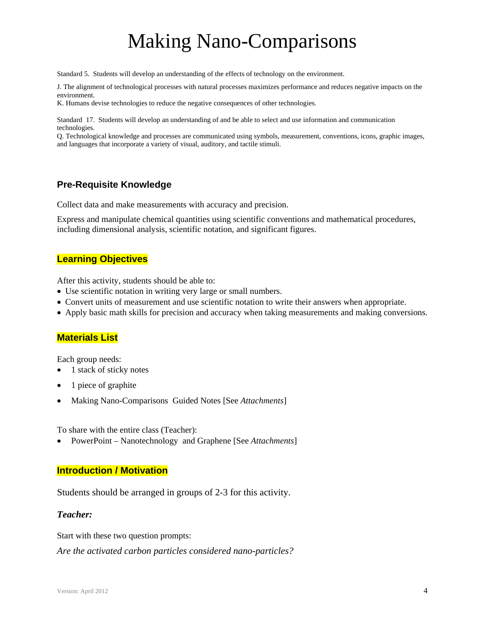Standard 5. Students will develop an understanding of the effects of technology on the environment.

J. The alignment of technological processes with natural processes maximizes performance and reduces negative impacts on the environment.

K. Humans devise technologies to reduce the negative consequences of other technologies.

Standard 17. Students will develop an understanding of and be able to select and use information and communication technologies.

Q. Technological knowledge and processes are communicated using symbols, measurement, conventions, icons, graphic images, and languages that incorporate a variety of visual, auditory, and tactile stimuli.

### **Pre-Requisite Knowledge**

Collect data and make measurements with accuracy and precision.

Express and manipulate chemical quantities using scientific conventions and mathematical procedures, including dimensional analysis, scientific notation, and significant figures.

#### **Learning Objectives**

After this activity, students should be able to:

- Use scientific notation in writing very large or small numbers.
- Convert units of measurement and use scientific notation to write their answers when appropriate.
- Apply basic math skills for precision and accuracy when taking measurements and making conversions.

#### **Materials List**

Each group needs:

- 1 stack of sticky notes
- 1 piece of graphite
- Making Nano-Comparisons Guided Notes [See *Attachments*]

To share with the entire class (Teacher):

PowerPoint – Nanotechnology and Graphene [See *Attachments*]

#### **Introduction / Motivation**

Students should be arranged in groups of 2-3 for this activity.

#### *Teacher:*

Start with these two question prompts:

*Are the activated carbon particles considered nano-particles?*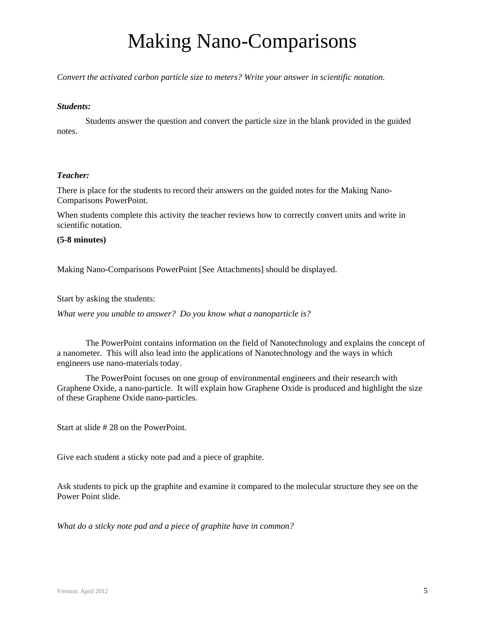*Convert the activated carbon particle size to meters? Write your answer in scientific notation.* 

#### *Students:*

Students answer the question and convert the particle size in the blank provided in the guided notes.

#### *Teacher:*

There is place for the students to record their answers on the guided notes for the Making Nano-Comparisons PowerPoint.

When students complete this activity the teacher reviews how to correctly convert units and write in scientific notation.

#### **(5-8 minutes)**

Making Nano-Comparisons PowerPoint [See Attachments] should be displayed.

Start by asking the students:

*What were you unable to answer? Do you know what a nanoparticle is?* 

The PowerPoint contains information on the field of Nanotechnology and explains the concept of a nanometer. This will also lead into the applications of Nanotechnology and the ways in which engineers use nano-materials today.

The PowerPoint focuses on one group of environmental engineers and their research with Graphene Oxide, a nano-particle. It will explain how Graphene Oxide is produced and highlight the size of these Graphene Oxide nano-particles.

Start at slide # 28 on the PowerPoint.

Give each student a sticky note pad and a piece of graphite.

Ask students to pick up the graphite and examine it compared to the molecular structure they see on the Power Point slide.

*What do a sticky note pad and a piece of graphite have in common?*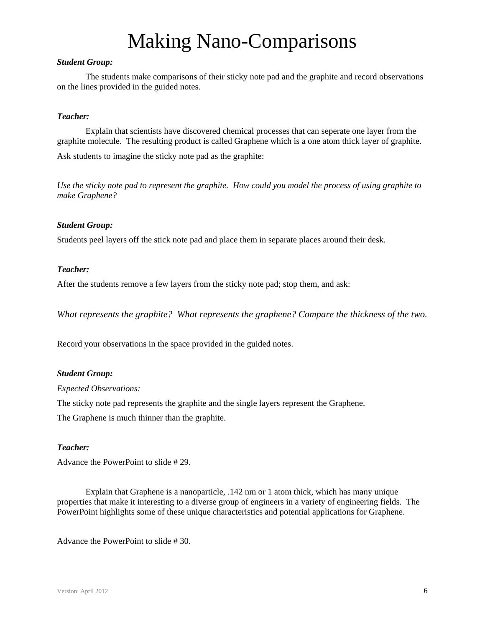#### *Student Group:*

The students make comparisons of their sticky note pad and the graphite and record observations on the lines provided in the guided notes.

#### *Teacher:*

Explain that scientists have discovered chemical processes that can seperate one layer from the graphite molecule. The resulting product is called Graphene which is a one atom thick layer of graphite.

Ask students to imagine the sticky note pad as the graphite:

*Use the sticky note pad to represent the graphite. How could you model the process of using graphite to make Graphene?* 

#### *Student Group:*

Students peel layers off the stick note pad and place them in separate places around their desk.

#### *Teacher:*

After the students remove a few layers from the sticky note pad; stop them, and ask:

*What represents the graphite? What represents the graphene? Compare the thickness of the two.*

Record your observations in the space provided in the guided notes.

#### *Student Group:*

#### *Expected Observations:*

The sticky note pad represents the graphite and the single layers represent the Graphene.

The Graphene is much thinner than the graphite.

#### *Teacher:*

Advance the PowerPoint to slide # 29.

Explain that Graphene is a nanoparticle, .142 nm or 1 atom thick, which has many unique properties that make it interesting to a diverse group of engineers in a variety of engineering fields. The PowerPoint highlights some of these unique characteristics and potential applications for Graphene.

Advance the PowerPoint to slide # 30.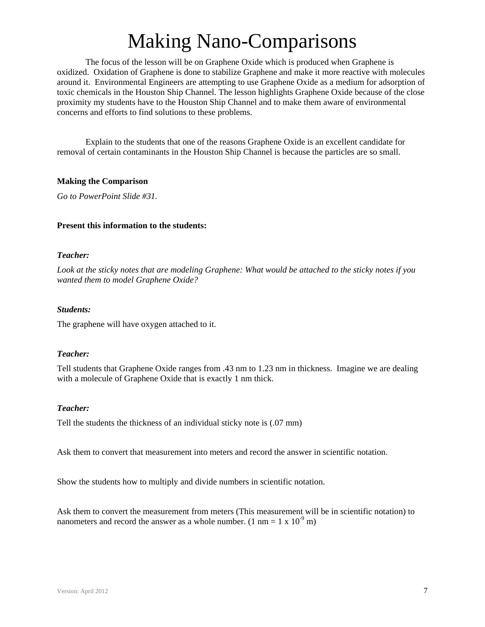The focus of the lesson will be on Graphene Oxide which is produced when Graphene is oxidized. Oxidation of Graphene is done to stabilize Graphene and make it more reactive with molecules around it. Environmental Engineers are attempting to use Graphene Oxide as a medium for adsorption of toxic chemicals in the Houston Ship Channel. The lesson highlights Graphene Oxide because of the close proximity my students have to the Houston Ship Channel and to make them aware of environmental concerns and efforts to find solutions to these problems.

Explain to the students that one of the reasons Graphene Oxide is an excellent candidate for removal of certain contaminants in the Houston Ship Channel is because the particles are so small.

#### **Making the Comparison**

*Go to PowerPoint Slide #31.* 

#### **Present this information to the students:**

#### *Teacher:*

*Look at the sticky notes that are modeling Graphene: What would be attached to the sticky notes if you wanted them to model Graphene Oxide?* 

#### *Students:*

The graphene will have oxygen attached to it.

#### *Teacher:*

Tell students that Graphene Oxide ranges from .43 nm to 1.23 nm in thickness. Imagine we are dealing with a molecule of Graphene Oxide that is exactly 1 nm thick.

#### *Teacher:*

Tell the students the thickness of an individual sticky note is (.07 mm)

Ask them to convert that measurement into meters and record the answer in scientific notation.

Show the students how to multiply and divide numbers in scientific notation.

Ask them to convert the measurement from meters (This measurement will be in scientific notation) to nanometers and record the answer as a whole number. (1 nm =  $1 \times 10^{-9}$  m)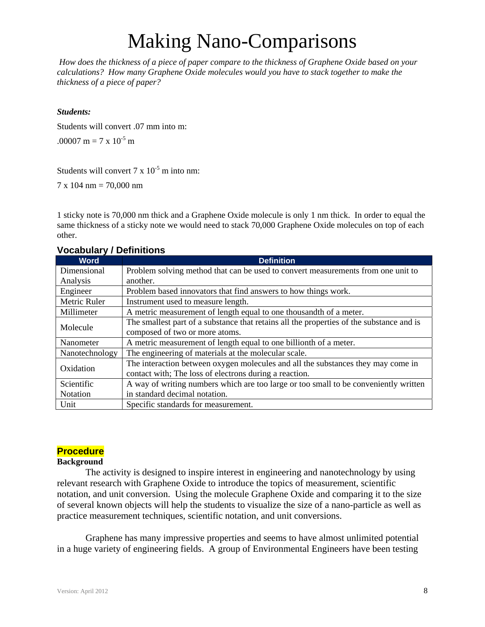*How does the thickness of a piece of paper compare to the thickness of Graphene Oxide based on your calculations? How many Graphene Oxide molecules would you have to stack together to make the thickness of a piece of paper?* 

#### *Students:*

Students will convert .07 mm into m:

.00007 m = 7 x  $10^{-5}$  m

Students will convert  $7 \times 10^{-5}$  m into nm:

7 x 104 nm = 70,000 nm

1 sticky note is 70,000 nm thick and a Graphene Oxide molecule is only 1 nm thick. In order to equal the same thickness of a sticky note we would need to stack 70,000 Graphene Oxide molecules on top of each other.

### **Vocabulary / Definitions**

| <b>Word</b>    | <b>Definition</b>                                                                        |
|----------------|------------------------------------------------------------------------------------------|
| Dimensional    | Problem solving method that can be used to convert measurements from one unit to         |
| Analysis       | another.                                                                                 |
| Engineer       | Problem based innovators that find answers to how things work.                           |
| Metric Ruler   | Instrument used to measure length.                                                       |
| Millimeter     | A metric measurement of length equal to one thousandth of a meter.                       |
| Molecule       | The smallest part of a substance that retains all the properties of the substance and is |
|                | composed of two or more atoms.                                                           |
| Nanometer      | A metric measurement of length equal to one billionth of a meter.                        |
| Nanotechnology | The engineering of materials at the molecular scale.                                     |
| Oxidation      | The interaction between oxygen molecules and all the substances they may come in         |
|                | contact with; The loss of electrons during a reaction.                                   |
| Scientific     | A way of writing numbers which are too large or too small to be conveniently written     |
| Notation       | in standard decimal notation.                                                            |
| Unit           | Specific standards for measurement.                                                      |

### **Procedure**

#### **Background**

The activity is designed to inspire interest in engineering and nanotechnology by using relevant research with Graphene Oxide to introduce the topics of measurement, scientific notation, and unit conversion. Using the molecule Graphene Oxide and comparing it to the size of several known objects will help the students to visualize the size of a nano-particle as well as practice measurement techniques, scientific notation, and unit conversions.

Graphene has many impressive properties and seems to have almost unlimited potential in a huge variety of engineering fields. A group of Environmental Engineers have been testing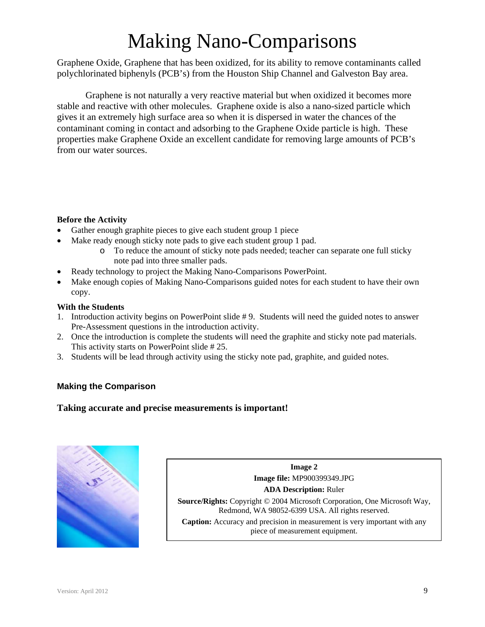Graphene Oxide, Graphene that has been oxidized, for its ability to remove contaminants called polychlorinated biphenyls (PCB's) from the Houston Ship Channel and Galveston Bay area.

Graphene is not naturally a very reactive material but when oxidized it becomes more stable and reactive with other molecules. Graphene oxide is also a nano-sized particle which gives it an extremely high surface area so when it is dispersed in water the chances of the contaminant coming in contact and adsorbing to the Graphene Oxide particle is high. These properties make Graphene Oxide an excellent candidate for removing large amounts of PCB's from our water sources.

### **Before the Activity**

- Gather enough graphite pieces to give each student group 1 piece
- Make ready enough sticky note pads to give each student group 1 pad.
	- o To reduce the amount of sticky note pads needed; teacher can separate one full sticky note pad into three smaller pads.
- Ready technology to project the Making Nano-Comparisons PowerPoint.
- Make enough copies of Making Nano-Comparisons guided notes for each student to have their own copy.

### **With the Students**

- 1. Introduction activity begins on PowerPoint slide # 9. Students will need the guided notes to answer Pre-Assessment questions in the introduction activity.
- 2. Once the introduction is complete the students will need the graphite and sticky note pad materials. This activity starts on PowerPoint slide # 25.
- 3. Students will be lead through activity using the sticky note pad, graphite, and guided notes.

# **Making the Comparison**

# **Taking accurate and precise measurements is important!**



**Image 2 Image file:** MP900399349.JPG **ADA Description:** Ruler **Source/Rights:** Copyright © 2004 Microsoft Corporation, One Microsoft Way, Redmond, WA 98052-6399 USA. All rights reserved. **Caption:** Accuracy and precision in measurement is very important with any piece of measurement equipment.